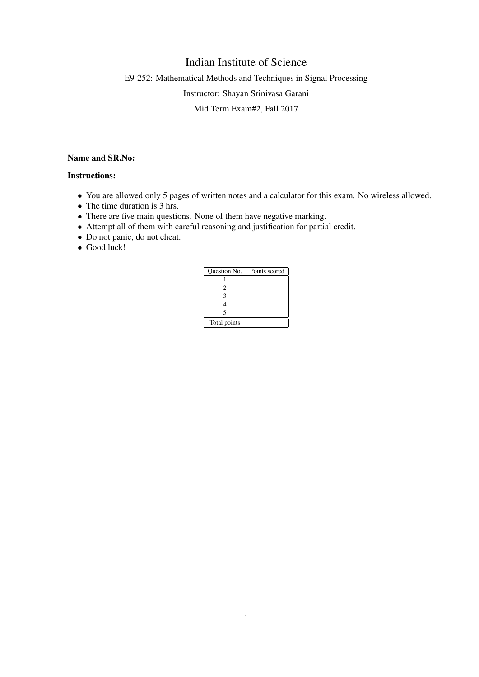## Indian Institute of Science

E9-252: Mathematical Methods and Techniques in Signal Processing

Instructor: Shayan Srinivasa Garani

Mid Term Exam#2, Fall 2017

## Name and SR.No:

## Instructions:

- You are allowed only 5 pages of written notes and a calculator for this exam. No wireless allowed.
- The time duration is 3 hrs.
- There are five main questions. None of them have negative marking.
- Attempt all of them with careful reasoning and justification for partial credit.
- Do not panic, do not cheat.
- Good luck!

| Question No. | Points scored |
|--------------|---------------|
|              |               |
|              |               |
|              |               |
|              |               |
|              |               |
| Total points |               |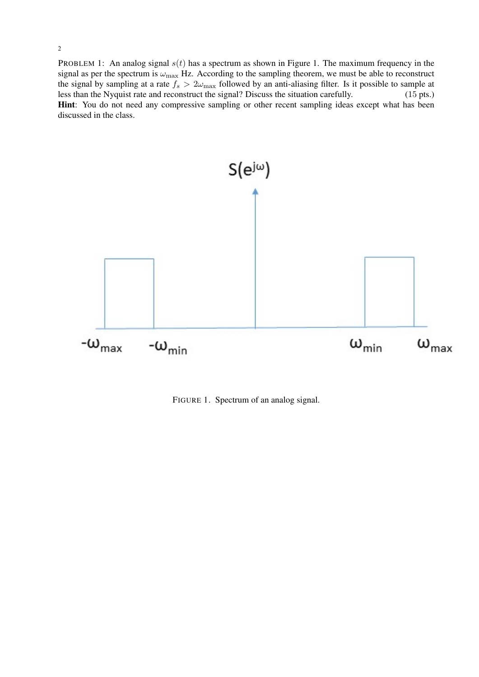PROBLEM 1: An analog signal  $s(t)$  has a spectrum as shown in Figure 1. The maximum frequency in the signal as per the spectrum is  $\omega_{\text{max}}$  Hz. According to the sampling theorem, we must be able to reconstruct the signal by sampling at a rate  $f_s > 2\omega_{\text{max}}$  followed by an anti-aliasing filter. Is it possible to sample at less than the Nyquist rate and reconstruct the signal? Discuss the situation carefully. (15 pts.) Hint: You do not need any compressive sampling or other recent sampling ideas except what has been discussed in the class.



FIGURE 1. Spectrum of an analog signal.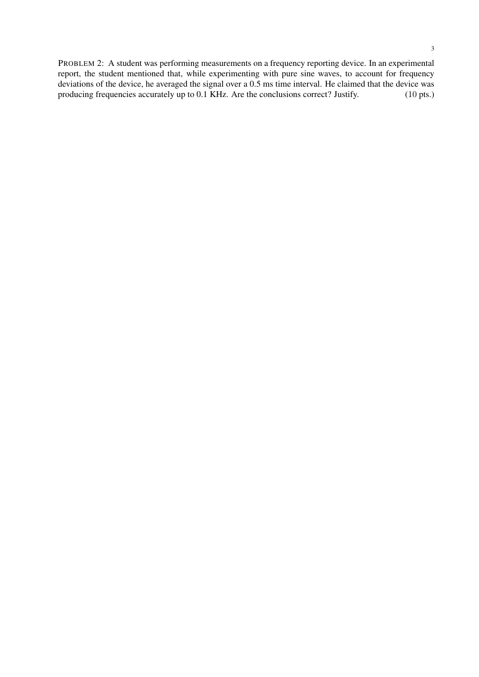PROBLEM 2: A student was performing measurements on a frequency reporting device. In an experimental report, the student mentioned that, while experimenting with pure sine waves, to account for frequency deviations of the device, he averaged the signal over a 0.5 ms time interval. He claimed that the device was producing frequencies accurately up to 0.1 KHz. Are the conclusions correct? Justify. (10 pts.) producing frequencies accurately up to  $0.1$  KHz. Are the conclusions correct? Justify.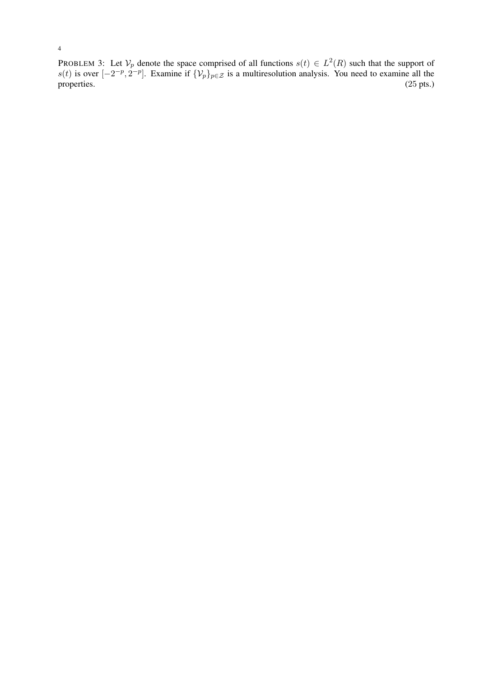PROBLEM 3: Let  $\mathcal{V}_p$  denote the space comprised of all functions  $s(t) \in L^2(R)$  such that the support of s(t) is over  $[-2^{-p}, 2^{-p}]$ . Examine if  $\{\mathcal{V}_p\}_{p \in \mathcal{Z}}$  is a multiresolution analysis. You need to examine all the properties.  $(25 \text{ pts.})$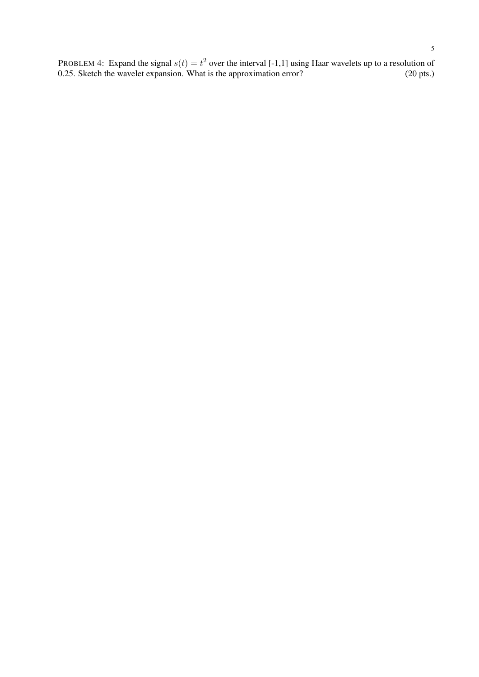PROBLEM 4: Expand the signal  $s(t) = t^2$  over the interval [-1,1] using Haar wavelets up to a resolution of 0.25. Sketch the wavelet expansion. What is the approximation error? (20 pts.)